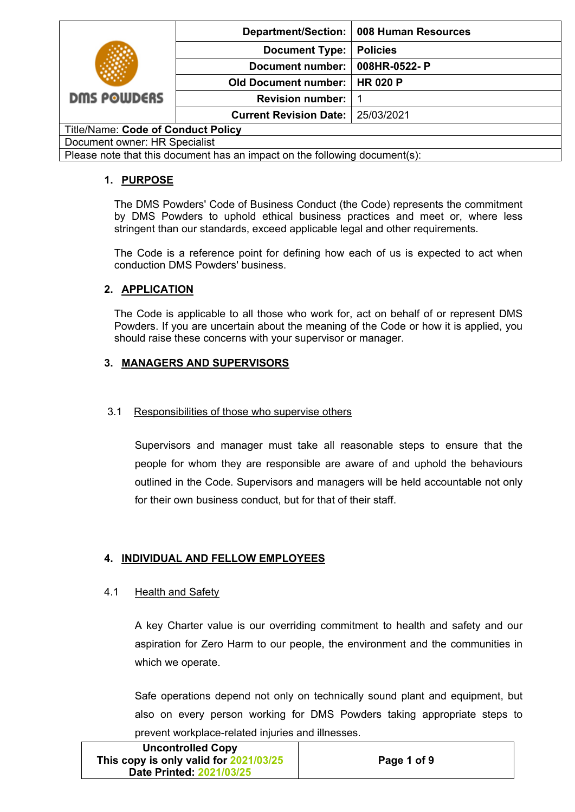|                                                                            |                               | Department/Section:   008 Human Resources |
|----------------------------------------------------------------------------|-------------------------------|-------------------------------------------|
|                                                                            | <b>Document Type:</b>         | <b>Policies</b>                           |
|                                                                            | Document number:              | 008HR-0522-P                              |
|                                                                            | <b>Old Document number:</b>   | <b>HR 020 P</b>                           |
| <b>DMS POWDERS</b>                                                         | <b>Revision number:</b>       |                                           |
|                                                                            | <b>Current Revision Date:</b> | 25/03/2021                                |
| <b>Title/Name: Code of Conduct Policy</b>                                  |                               |                                           |
| Document owner: HR Specialist                                              |                               |                                           |
| Please note that this document has an impact on the following document(s): |                               |                                           |

## **1. PURPOSE**

The DMS Powders' Code of Business Conduct (the Code) represents the commitment by DMS Powders to uphold ethical business practices and meet or, where less stringent than our standards, exceed applicable legal and other requirements.

The Code is a reference point for defining how each of us is expected to act when conduction DMS Powders' business.

# **2. APPLICATION**

The Code is applicable to all those who work for, act on behalf of or represent DMS Powders. If you are uncertain about the meaning of the Code or how it is applied, you should raise these concerns with your supervisor or manager.

# **3. MANAGERS AND SUPERVISORS**

## 3.1Responsibilities of those who supervise others

Supervisors and manager must take all reasonable steps to ensure that the people for whom they are responsible are aware of and uphold the behaviours outlined in the Code. Supervisors and managers will be held accountable not only for their own business conduct, but for that of their staff.

## **4. INDIVIDUAL AND FELLOW EMPLOYEES**

### 4.1 Health and Safety

A key Charter value is our overriding commitment to health and safety and our aspiration for Zero Harm to our people, the environment and the communities in which we operate.

Safe operations depend not only on technically sound plant and equipment, but also on every person working for DMS Powders taking appropriate steps to prevent workplace-related injuries and illnesses.

| <b>Uncontrolled Copy</b>               |             |
|----------------------------------------|-------------|
| This copy is only valid for 2021/03/25 | Page 1 of 9 |
| Date Printed: 2021/03/25               |             |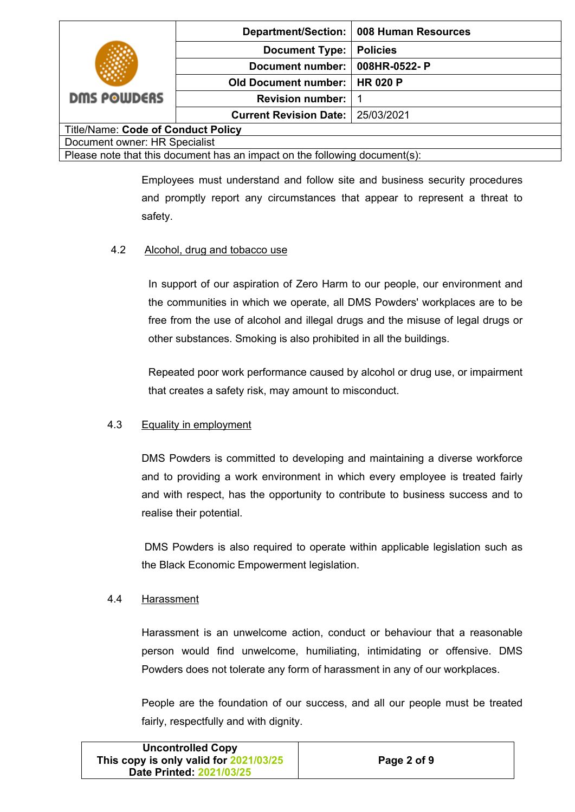|                                                                            |                               | Department/Section: 008 Human Resources |
|----------------------------------------------------------------------------|-------------------------------|-----------------------------------------|
|                                                                            | <b>Document Type:</b>         | <b>Policies</b>                         |
|                                                                            | <b>Document number:</b>       | 008HR-0522-P                            |
|                                                                            | <b>Old Document number:</b>   | <b>HR 020 P</b>                         |
| <b>DMS POWDERS</b>                                                         | <b>Revision number:</b>       |                                         |
|                                                                            | <b>Current Revision Date:</b> | 25/03/2021                              |
| <b>Title/Name: Code of Conduct Policy</b>                                  |                               |                                         |
| Document owner: HR Specialist                                              |                               |                                         |
| Please note that this document has an impact on the following document(s): |                               |                                         |

Employees must understand and follow site and business security procedures and promptly report any circumstances that appear to represent a threat to safety.

### 4.2 Alcohol, drug and tobacco use

In support of our aspiration of Zero Harm to our people, our environment and the communities in which we operate, all DMS Powders' workplaces are to be free from the use of alcohol and illegal drugs and the misuse of legal drugs or other substances. Smoking is also prohibited in all the buildings.

Repeated poor work performance caused by alcohol or drug use, or impairment that creates a safety risk, may amount to misconduct.

### 4.3 Equality in employment

DMS Powders is committed to developing and maintaining a diverse workforce and to providing a work environment in which every employee is treated fairly and with respect, has the opportunity to contribute to business success and to realise their potential.

DMS Powders is also required to operate within applicable legislation such as the Black Economic Empowerment legislation.

### 4.4 Harassment

Harassment is an unwelcome action, conduct or behaviour that a reasonable person would find unwelcome, humiliating, intimidating or offensive. DMS Powders does not tolerate any form of harassment in any of our workplaces.

People are the foundation of our success, and all our people must be treated fairly, respectfully and with dignity.

| <b>Uncontrolled Copy</b>               |             |
|----------------------------------------|-------------|
| This copy is only valid for 2021/03/25 | Page 2 of 9 |
| Date Printed: 2021/03/25               |             |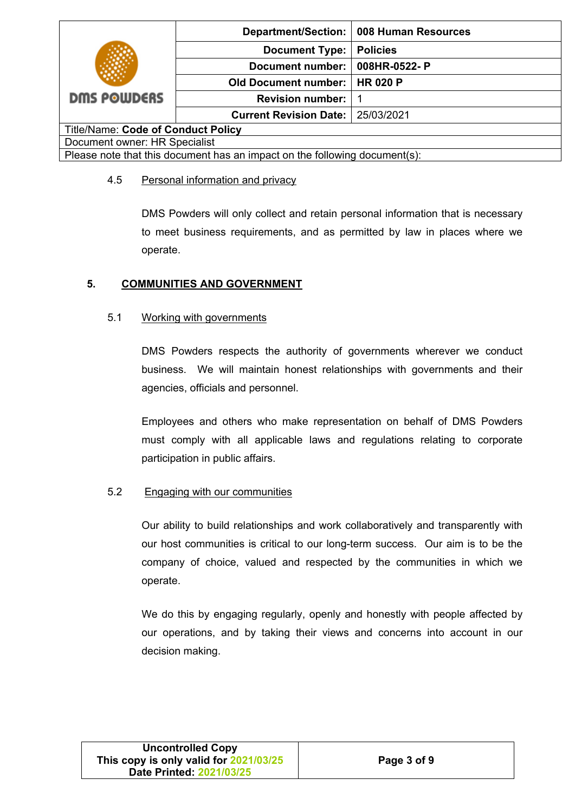|                                                                            |                               | Department/Section:   008 Human Resources |
|----------------------------------------------------------------------------|-------------------------------|-------------------------------------------|
|                                                                            | <b>Document Type:</b>         | <b>Policies</b>                           |
|                                                                            | Document number:              | 008HR-0522-P                              |
|                                                                            | <b>Old Document number:</b>   | <b>HR 020 P</b>                           |
| <b>DMS POWDERS</b>                                                         | <b>Revision number:</b>       |                                           |
|                                                                            | <b>Current Revision Date:</b> | 25/03/2021                                |
| <b>Title/Name: Code of Conduct Policy</b>                                  |                               |                                           |
| Document owner: HR Specialist                                              |                               |                                           |
| Please note that this document has an impact on the following document(s): |                               |                                           |

### 4.5 Personal information and privacy

DMS Powders will only collect and retain personal information that is necessary to meet business requirements, and as permitted by law in places where we operate.

### **5. COMMUNITIES AND GOVERNMENT**

### 5.1 Working with governments

DMS Powders respects the authority of governments wherever we conduct business. We will maintain honest relationships with governments and their agencies, officials and personnel.

Employees and others who make representation on behalf of DMS Powders must comply with all applicable laws and regulations relating to corporate participation in public affairs.

### 5.2 Engaging with our communities

Our ability to build relationships and work collaboratively and transparently with our host communities is critical to our long-term success. Our aim is to be the company of choice, valued and respected by the communities in which we operate.

We do this by engaging regularly, openly and honestly with people affected by our operations, and by taking their views and concerns into account in our decision making.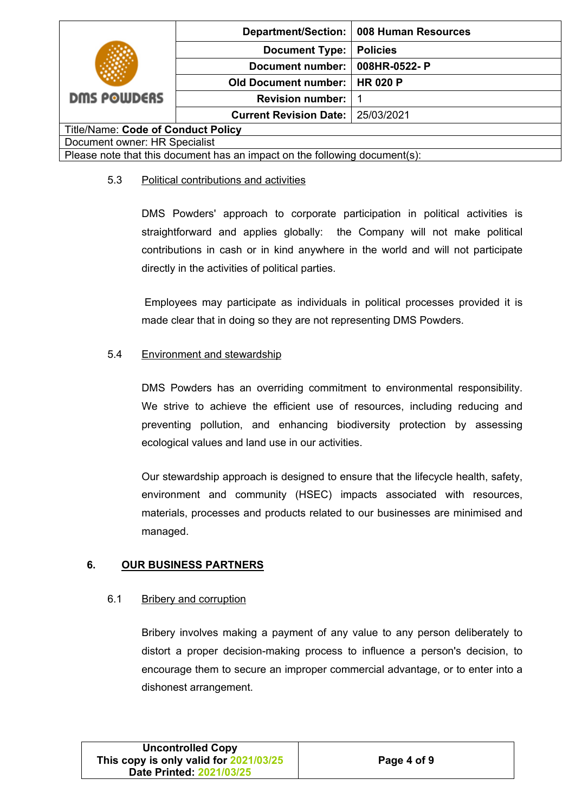|                                                                            |                               | Department/Section:   008 Human Resources |
|----------------------------------------------------------------------------|-------------------------------|-------------------------------------------|
|                                                                            | <b>Document Type:</b>         | <b>Policies</b>                           |
|                                                                            | Document number:              | 008HR-0522-P                              |
|                                                                            | <b>Old Document number:</b>   | <b>HR 020 P</b>                           |
| <b>DMS POWDERS</b>                                                         | <b>Revision number:</b>       |                                           |
|                                                                            | <b>Current Revision Date:</b> | 25/03/2021                                |
| <b>Title/Name: Code of Conduct Policy</b>                                  |                               |                                           |
| Document owner: HR Specialist                                              |                               |                                           |
| Please note that this document has an impact on the following document(s): |                               |                                           |

### 5.3 Political contributions and activities

DMS Powders' approach to corporate participation in political activities is straightforward and applies globally: the Company will not make political contributions in cash or in kind anywhere in the world and will not participate directly in the activities of political parties.

Employees may participate as individuals in political processes provided it is made clear that in doing so they are not representing DMS Powders.

## 5.4 Environment and stewardship

DMS Powders has an overriding commitment to environmental responsibility. We strive to achieve the efficient use of resources, including reducing and preventing pollution, and enhancing biodiversity protection by assessing ecological values and land use in our activities.

Our stewardship approach is designed to ensure that the lifecycle health, safety, environment and community (HSEC) impacts associated with resources, materials, processes and products related to our businesses are minimised and managed.

### **6. OUR BUSINESS PARTNERS**

### 6.1 Bribery and corruption

Bribery involves making a payment of any value to any person deliberately to distort a proper decision-making process to influence a person's decision, to encourage them to secure an improper commercial advantage, or to enter into a dishonest arrangement.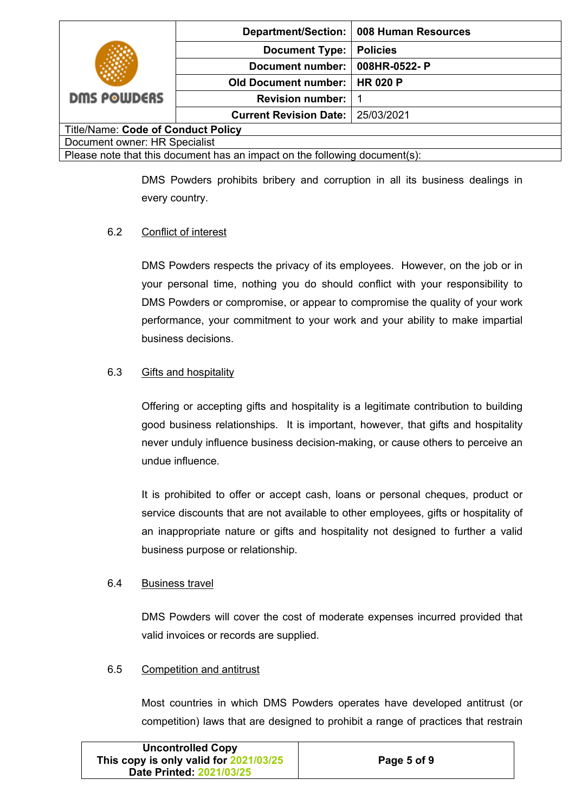|                                                                            |                               | Department/Section:   008 Human Resources |
|----------------------------------------------------------------------------|-------------------------------|-------------------------------------------|
|                                                                            | <b>Document Type:</b>         | <b>Policies</b>                           |
|                                                                            | Document number:              | 008HR-0522-P                              |
|                                                                            | <b>Old Document number:</b>   | <b>HR 020 P</b>                           |
| <b>DMS POWDERS</b>                                                         | <b>Revision number:</b>       |                                           |
|                                                                            | <b>Current Revision Date:</b> | 25/03/2021                                |
| <b>Title/Name: Code of Conduct Policy</b>                                  |                               |                                           |
| Document owner: HR Specialist                                              |                               |                                           |
| Please note that this document has an impact on the following document(s): |                               |                                           |

DMS Powders prohibits bribery and corruption in all its business dealings in every country.

## 6.2 Conflict of interest

DMS Powders respects the privacy of its employees. However, on the job or in your personal time, nothing you do should conflict with your responsibility to DMS Powders or compromise, or appear to compromise the quality of your work performance, your commitment to your work and your ability to make impartial business decisions.

### 6.3 Gifts and hospitality

Offering or accepting gifts and hospitality is a legitimate contribution to building good business relationships. It is important, however, that gifts and hospitality never unduly influence business decision-making, or cause others to perceive an undue influence.

It is prohibited to offer or accept cash, loans or personal cheques, product or service discounts that are not available to other employees, gifts or hospitality of an inappropriate nature or gifts and hospitality not designed to further a valid business purpose or relationship.

### 6.4 Business travel

DMS Powders will cover the cost of moderate expenses incurred provided that valid invoices or records are supplied.

### 6.5 Competition and antitrust

Most countries in which DMS Powders operates have developed antitrust (or competition) laws that are designed to prohibit a range of practices that restrain

| <b>Uncontrolled Copy</b>               |             |
|----------------------------------------|-------------|
| This copy is only valid for 2021/03/25 | Page 5 of 9 |
| Date Printed: 2021/03/25               |             |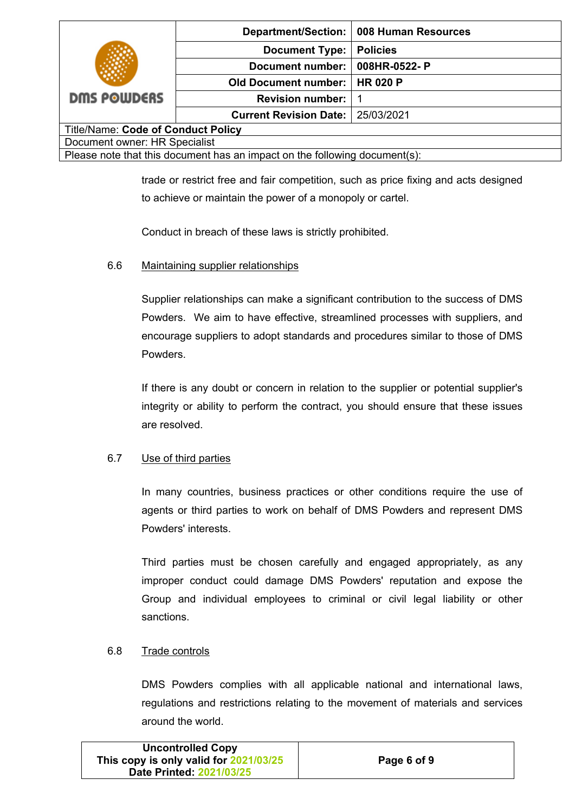|                                                                            |                               | Department/Section: 008 Human Resources |
|----------------------------------------------------------------------------|-------------------------------|-----------------------------------------|
|                                                                            | <b>Document Type:</b>         | <b>Policies</b>                         |
|                                                                            | <b>Document number:</b>       | 008HR-0522-P                            |
|                                                                            | <b>Old Document number:</b>   | <b>HR 020 P</b>                         |
| <b>DMS POWDERS</b>                                                         | <b>Revision number:</b>       |                                         |
|                                                                            | <b>Current Revision Date:</b> | 25/03/2021                              |
| <b>Title/Name: Code of Conduct Policy</b>                                  |                               |                                         |
| Document owner: HR Specialist                                              |                               |                                         |
| Please note that this document has an impact on the following document(s): |                               |                                         |

trade or restrict free and fair competition, such as price fixing and acts designed to achieve or maintain the power of a monopoly or cartel.

Conduct in breach of these laws is strictly prohibited.

### 6.6 Maintaining supplier relationships

Supplier relationships can make a significant contribution to the success of DMS Powders. We aim to have effective, streamlined processes with suppliers, and encourage suppliers to adopt standards and procedures similar to those of DMS Powders.

If there is any doubt or concern in relation to the supplier or potential supplier's integrity or ability to perform the contract, you should ensure that these issues are resolved.

### 6.7 Use of third parties

In many countries, business practices or other conditions require the use of agents or third parties to work on behalf of DMS Powders and represent DMS Powders' interests.

Third parties must be chosen carefully and engaged appropriately, as any improper conduct could damage DMS Powders' reputation and expose the Group and individual employees to criminal or civil legal liability or other sanctions.

### 6.8 Trade controls

DMS Powders complies with all applicable national and international laws, regulations and restrictions relating to the movement of materials and services around the world.

| <b>Uncontrolled Copy</b>               |             |
|----------------------------------------|-------------|
| This copy is only valid for 2021/03/25 | Page 6 of 9 |
| Date Printed: 2021/03/25               |             |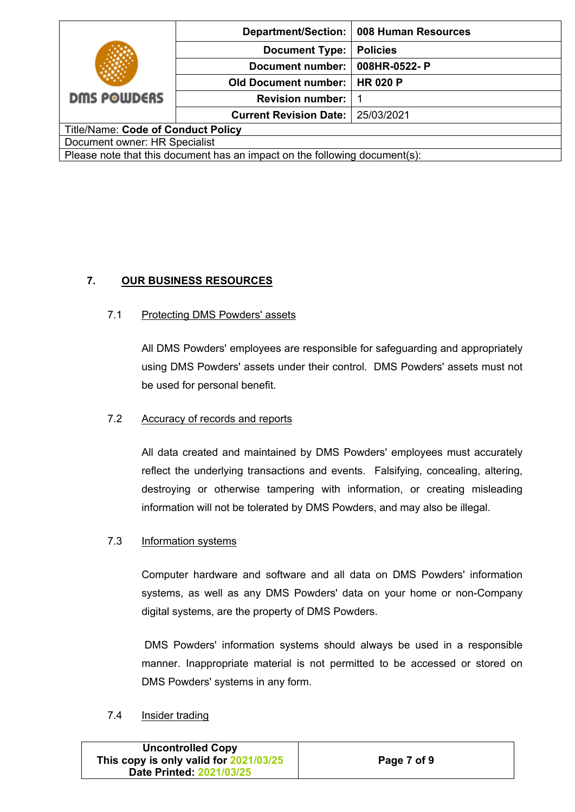|                                                                            |                               | Department/Section:   008 Human Resources |
|----------------------------------------------------------------------------|-------------------------------|-------------------------------------------|
|                                                                            | <b>Document Type:</b>         | <b>Policies</b>                           |
|                                                                            | Document number:              | 008HR-0522-P                              |
|                                                                            | <b>Old Document number:</b>   | <b>HR 020 P</b>                           |
| <b>DMS POWDERS</b>                                                         | <b>Revision number:</b>       |                                           |
|                                                                            | <b>Current Revision Date:</b> | 25/03/2021                                |
| <b>Title/Name: Code of Conduct Policy</b>                                  |                               |                                           |
| Document owner: HR Specialist                                              |                               |                                           |
| Please note that this document has an impact on the following document(s): |                               |                                           |

## **7. OUR BUSINESS RESOURCES**

### 7.1 Protecting DMS Powders' assets

All DMS Powders' employees are responsible for safeguarding and appropriately using DMS Powders' assets under their control. DMS Powders' assets must not be used for personal benefit.

### 7.2 Accuracy of records and reports

All data created and maintained by DMS Powders' employees must accurately reflect the underlying transactions and events. Falsifying, concealing, altering, destroying or otherwise tampering with information, or creating misleading information will not be tolerated by DMS Powders, and may also be illegal.

#### 7.3 Information systems

Computer hardware and software and all data on DMS Powders' information systems, as well as any DMS Powders' data on your home or non-Company digital systems, are the property of DMS Powders.

DMS Powders' information systems should always be used in a responsible manner. Inappropriate material is not permitted to be accessed or stored on DMS Powders' systems in any form.

#### 7.4 Insider trading

| <b>Uncontrolled Copy</b>               |             |
|----------------------------------------|-------------|
| This copy is only valid for 2021/03/25 | Page 7 of 9 |
| Date Printed: 2021/03/25               |             |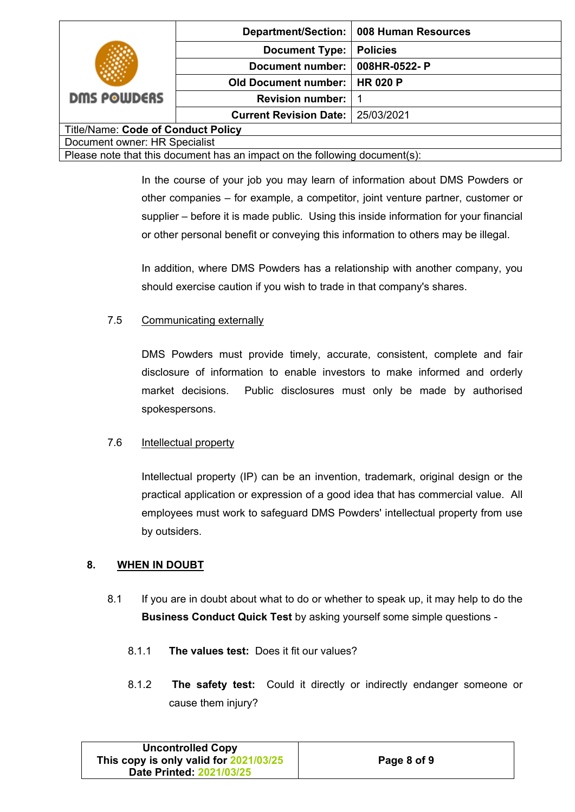| <b>DMS POWDERS</b>                                                         |                               | Department/Section:   008 Human Resources |  |
|----------------------------------------------------------------------------|-------------------------------|-------------------------------------------|--|
|                                                                            | <b>Document Type:</b>         | <b>Policies</b>                           |  |
|                                                                            | Document number:              | 008HR-0522-P                              |  |
|                                                                            | <b>Old Document number:</b>   | <b>HR 020 P</b>                           |  |
|                                                                            | <b>Revision number:</b>       |                                           |  |
|                                                                            | <b>Current Revision Date:</b> | 25/03/2021                                |  |
| <b>Title/Name: Code of Conduct Policy</b>                                  |                               |                                           |  |
| Document owner: HR Specialist                                              |                               |                                           |  |
| Please note that this document has an impact on the following document(s): |                               |                                           |  |

In the course of your job you may learn of information about DMS Powders or other companies – for example, a competitor, joint venture partner, customer or supplier – before it is made public. Using this inside information for your financial or other personal benefit or conveying this information to others may be illegal.

In addition, where DMS Powders has a relationship with another company, you should exercise caution if you wish to trade in that company's shares.

## 7.5 Communicating externally

DMS Powders must provide timely, accurate, consistent, complete and fair disclosure of information to enable investors to make informed and orderly market decisions. Public disclosures must only be made by authorised spokespersons.

### 7.6 Intellectual property

Intellectual property (IP) can be an invention, trademark, original design or the practical application or expression of a good idea that has commercial value. All employees must work to safeguard DMS Powders' intellectual property from use by outsiders.

## **8. WHEN IN DOUBT**

- 8.1 If you are in doubt about what to do or whether to speak up, it may help to do the **Business Conduct Quick Test** by asking yourself some simple questions -
	- 8.1.1 **The values test:** Does it fit our values?
	- 8.1.2 **The safety test:** Could it directly or indirectly endanger someone or cause them injury?